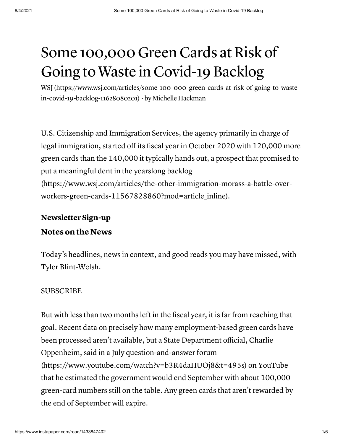# Some 100,000 Green Cards at Risk of Going to Waste in Covid-19 Backlog

[WSJ \(https://www.wsj.com/articles/some-100-000-green-cards-at-risk-of-going-to-waste](https://www.wsj.com/articles/some-100-000-green-cards-at-risk-of-going-to-waste-in-covid-19-backlog-11628080201)in-covid-19-backlog-11628080201) · by Michelle Hackman

U.S. Citizenship and Immigration Services, the agency primarily in charge of legal immigration, started off its fiscal year in October 2020 with 120,000 more green cards than the 140,000 it typically hands out, a prospect that promised to put a meaningful dent in the yearslong backlog [\(https://www.wsj.com/articles/the-other-immigration-morass-a-battle-over](https://www.wsj.com/articles/the-other-immigration-morass-a-battle-over-workers-green-cards-11567828860?mod=article_inline)workers-green-cards-11567828860?mod=article\_inline).

#### Newsletter Sign-up

#### Notes on the News

Today's headlines, news in context, and good reads you may have missed, with Tyler Blint-Welsh.

#### SUBSCRIBE

But with less than two months left in the fiscal year, it is far from reaching that goal. Recent data on precisely how many employment-based green cards have been processed aren't available, but a State Department official, Charlie Oppenheim, said in a July question-and-answer forum [\(https://www.youtube.com/watch?v=b3R4daHUOj8&t=495s\)](https://www.youtube.com/watch?v=b3R4daHUOj8&t=495s) on YouTube that he estimated the government would end September with about 100,000 green-card numbers still on the table. Any green cards that aren't rewarded by the end of September will expire.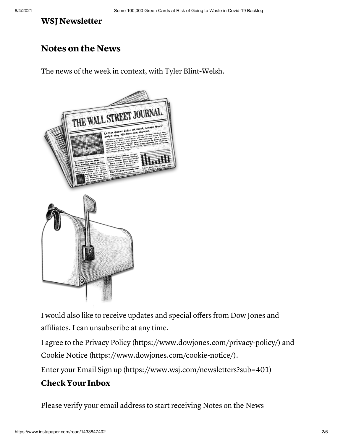#### WSJ Newsletter

## Notes on the News

The news of the week in context, with Tyler Blint-Welsh.



I would also like to receive updates and special offers from Dow Jones and affiliates. I can unsubscribe at any time.

I agree to the Privacy Policy [\(https://www.dowjones.com/privacy-policy/\)](https://www.dowjones.com/privacy-policy/) and Cookie Notice [\(https://www.dowjones.com/cookie-notice/\)](https://www.dowjones.com/cookie-notice/).

Enter your Email Sign up [\(https://www.wsj.com/newsletters?sub=401\)](https://www.wsj.com/newsletters?sub=401)

### CheckYour Inbox

Please verify your email address to start receiving Notes on the News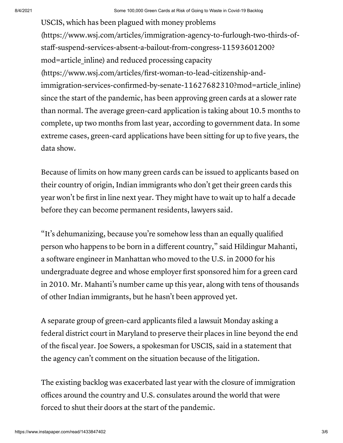USCIS, which has been plagued with money problems [\(https://www.wsj.com/articles/immigration-agency-to-furlough-two-thirds-of](https://www.wsj.com/articles/immigration-agency-to-furlough-two-thirds-of-staff-suspend-services-absent-a-bailout-from-congress-11593601200?mod=article_inline)staff-suspend-services-absent-a-bailout-from-congress-11593601200? mod=article\_inline) and reduced processing capacity (https://www.wsj.com/articles/first-woman-to-lead-citizenship-andimmigration-services-confirmed-by-senate-11627682310?mod=article inline) since the start of the pandemic, has been approving green cards at a slower rate than normal. The average green-card application is taking about 10.5 months to complete, up two months from last year, according to government data. In some extreme cases, green-card applications have been sitting for up to five years, the data show.

Because of limits on how many green cards can be issued to applicants based on their country of origin, Indian immigrants who don't get their green cards this year won't be first in line next year. They might have to wait up to half a decade before they can become permanent residents, lawyers said.

"It's dehumanizing, because you're somehow less than an equally qualified person who happens to be born in a different country," said Hildingur Mahanti, a software engineer in Manhattan who moved to the U.S. in 2000 for his undergraduate degree and whose employer first sponsored him for a green card in 2010. Mr. Mahanti's number came up this year, along with tens of thousands of other Indian immigrants, but he hasn't been approved yet.

A separate group of green-card applicants filed a lawsuit Monday asking a federal district court in Maryland to preserve their places in line beyond the end of the fiscal year. Joe Sowers, a spokesman for USCIS, said in a statement that the agency can't comment on the situation because of the litigation.

The existing backlog was exacerbated last year with the closure of immigration offices around the country and U.S. consulates around the world that were forced to shut their doors at the start of the pandemic.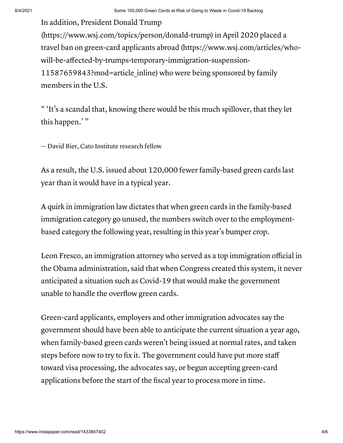In addition, President Donald Trump [\(https://www.wsj.com/topics/person/donald-trump\)](https://www.wsj.com/topics/person/donald-trump) in April 2020 placed a travel ban on green-card applicants abroad (https://www.wsj.com/articles/who[will-be-affected-by-trumps-temporary-immigration-suspension-](https://www.wsj.com/articles/who-will-be-affected-by-trumps-temporary-immigration-suspension-11587659843?mod=article_inline)11587659843?mod=article\_inline) who were being sponsored by family members in the U.S.

" 'It's a scandal that, knowing there would be this much spillover, that they let this happen.'"

— David Bier, Cato Institute research fellow

As a result, the U.S. issued about 120,000 fewer family-based green cards last year than it would have in a typical year.

A quirk in immigration law dictates that when green cards in the family-based immigration category go unused, the numbers switch over to the employmentbased category the following year, resulting in this year's bumper crop.

Leon Fresco, an immigration attorney who served as a top immigration official in the Obama administration, said that when Congress created this system, it never anticipated a situation such as Covid-19 that would make the government unable to handle the overflow green cards.

Green-card applicants, employers and other immigration advocates say the government should have been able to anticipate the current situation a year ago, when family-based green cards weren't being issued at normal rates, and taken steps before now to try to fix it. The government could have put more staff toward visa processing, the advocates say, or begun accepting green-card applications before the start of the fiscal year to process more in time.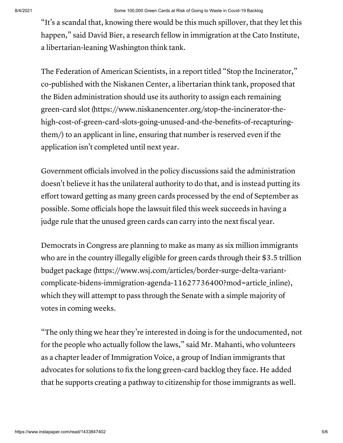"It's a scandal that, knowing there would be this much spillover, that they let this happen," said David Bier, a research fellow in immigration at the Cato Institute, a libertarian-leaning Washington think tank.

The Federation of American Scientists, in a report titled "Stop the Incinerator," co-published with the Niskanen Center, a libertarian think tank, proposed that the Biden administration should use its authority to assign each remaining green-card slot (https://www.niskanencenter.org/stop-the-incinerator-the[high-cost-of-green-card-slots-going-unused-and-the-benefits-of-recapturing](https://www.niskanencenter.org/stop-the-incinerator-the-high-cost-of-green-card-slots-going-unused-and-the-benefits-of-recapturing-them/)them/) to an applicant in line, ensuring that number is reserved even if the application isn't completed until next year.

Government officials involved in the policy discussions said the administration doesn't believe it has the unilateral authority to do that, and is instead putting its effort toward getting as many green cards processed by the end of September as possible. Some officials hope the lawsuit filed this week succeeds in having a judge rule that the unused green cards can carry into the next fiscal year.

Democrats in Congress are planning to make as many as six million immigrants who are in the country illegally eligible for green cards through their \$3.5 trillion budget package (https://www.wsj.com/articles/border-surge-delta-variant[complicate-bidens-immigration-agenda-11627736400?mod=article\\_inline\),](https://www.wsj.com/articles/border-surge-delta-variant-complicate-bidens-immigration-agenda-11627736400?mod=article_inline) which they will attempt to pass through the Senate with a simple majority of votes in coming weeks.

"The only thing we hear they're interested in doing is for the undocumented, not for the people who actually follow the laws," said Mr. Mahanti, who volunteers as a chapter leader of Immigration Voice, a group of Indian immigrants that advocates for solutions to fix the long green-card backlog they face. He added that he supports creating a pathway to citizenship for those immigrants as well.